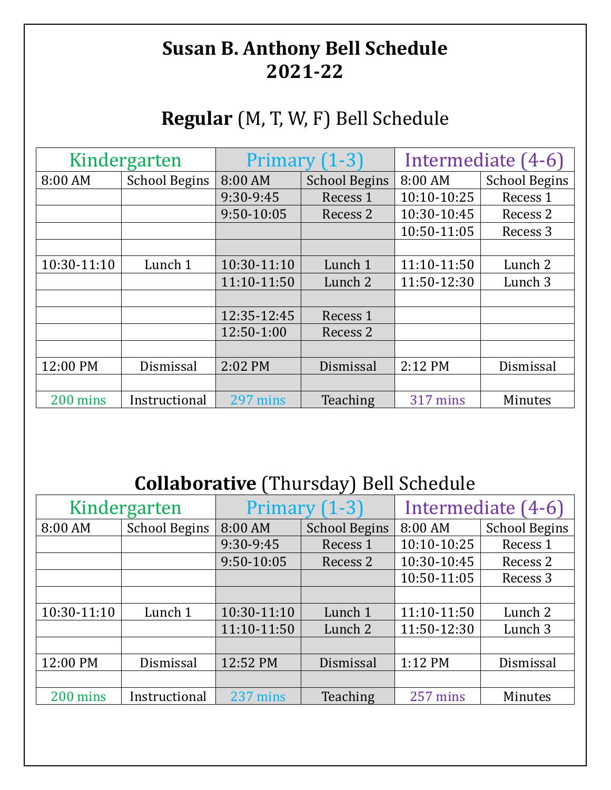## **Susan B. Anthony Bell Schedule 2021-22**

## **Regular** (M, T, W, F) Bell Schedule

| Kindergarten |                      | Primary $(1-3)$ |                      | Intermediate (4-6) |                      |
|--------------|----------------------|-----------------|----------------------|--------------------|----------------------|
| 8:00 AM      | <b>School Begins</b> | 8:00 AM         | <b>School Begins</b> | 8:00 AM            | <b>School Begins</b> |
|              |                      | 9:30-9:45       | Recess 1             | 10:10-10:25        | Recess <sub>1</sub>  |
|              |                      | 9:50-10:05      | Recess 2             | 10:30-10:45        | Recess 2             |
|              |                      |                 |                      | 10:50-11:05        | Recess 3             |
|              |                      |                 |                      |                    |                      |
| 10:30-11:10  | Lunch 1              | 10:30-11:10     | Lunch 1              | 11:10-11:50        | Lunch <sub>2</sub>   |
|              |                      | 11:10-11:50     | Lunch 2              | 11:50-12:30        | Lunch 3              |
|              |                      |                 |                      |                    |                      |
|              |                      | 12:35-12:45     | Recess 1             |                    |                      |
|              |                      | 12:50-1:00      | Recess 2             |                    |                      |
|              |                      |                 |                      |                    |                      |
| 12:00 PM     | Dismissal            | 2:02 PM         | Dismissal            | 2:12 PM            | Dismissal            |
|              |                      |                 |                      |                    |                      |
| 200 mins     | Instructional        | 297 mins        | Teaching             | 317 mins           | <b>Minutes</b>       |

## **Collaborative** (Thursday) Bell Schedule

| Kindergarten |                      | Primary $(1-3)$ |                      | Intermediate (4-6) |                      |
|--------------|----------------------|-----------------|----------------------|--------------------|----------------------|
| 8:00 AM      | <b>School Begins</b> | 8:00 AM         | <b>School Begins</b> | 8:00 AM            | <b>School Begins</b> |
|              |                      | 9:30-9:45       | Recess 1             | 10:10-10:25        | Recess 1             |
|              |                      | $9:50-10:05$    | Recess 2             | 10:30-10:45        | Recess 2             |
|              |                      |                 |                      | 10:50-11:05        | Recess 3             |
|              |                      |                 |                      |                    |                      |
| 10:30-11:10  | Lunch 1              | 10:30-11:10     | Lunch 1              | 11:10-11:50        | Lunch 2              |
|              |                      | 11:10-11:50     | Lunch 2              | 11:50-12:30        | Lunch 3              |
|              |                      |                 |                      |                    |                      |
| 12:00 PM     | Dismissal            | 12:52 PM        | Dismissal            | 1:12 PM            | Dismissal            |
|              |                      |                 |                      |                    |                      |
| 200 mins     | Instructional        | 237 mins        | Teaching             | 257 mins           | Minutes              |